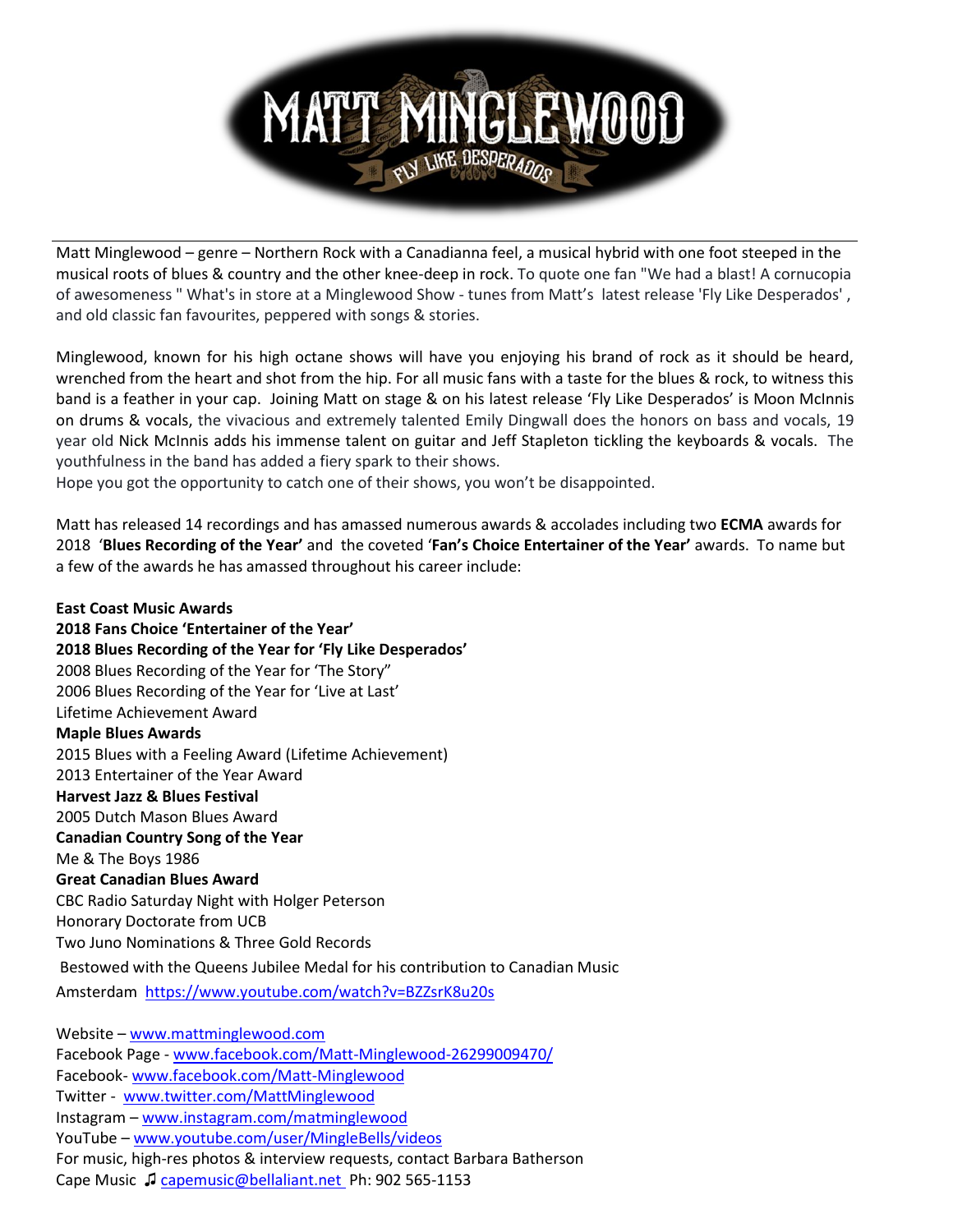## M008 ANY LIKE DESPERADO

Matt Minglewood – genre – Northern Rock with a Canadianna feel, a musical hybrid with one foot steeped in the musical roots of blues & country and the other knee-deep in rock. To quote one fan "We had a blast! A cornucopia of awesomeness " What's in store at a Minglewood Show - tunes from Matt's latest release 'Fly Like Desperados' , and old classic fan favourites, peppered with songs & stories.

Minglewood, known for his high octane shows will have you enjoying his brand of rock as it should be heard, wrenched from the heart and shot from the hip. For all music fans with a taste for the blues & rock, to witness this band is a feather in your cap. Joining Matt on stage & on his latest release 'Fly Like Desperados' is Moon McInnis on drums & vocals, the vivacious and extremely talented Emily Dingwall does the honors on bass and vocals, 19 year old Nick McInnis adds his immense talent on guitar and Jeff Stapleton tickling the keyboards & vocals. The youthfulness in the band has added a fiery spark to their shows.

Hope you got the opportunity to catch one of their shows, you won't be disappointed.

Matt has released 14 recordings and has amassed numerous awards & accolades including two **ECMA** awards for 2018 '**Blues Recording of the Year'** and the coveted '**Fan's Choice Entertainer of the Year'** awards. To name but a few of the awards he has amassed throughout his career include:

**East Coast Music Awards 2018 Fans Choice 'Entertainer of the Year' 2018 Blues Recording of the Year for 'Fly Like Desperados'** 2008 Blues Recording of the Year for 'The Story" 2006 Blues Recording of the Year for 'Live at Last' Lifetime Achievement Award **Maple Blues Awards** 2015 Blues with a Feeling Award (Lifetime Achievement) 2013 Entertainer of the Year Award **Harvest Jazz & Blues Festival** 2005 Dutch Mason Blues Award **Canadian Country Song of the Year** Me & The Boys 1986 **Great Canadian Blues Award** CBC Radio Saturday Night with Holger Peterson Honorary Doctorate from UCB Two Juno Nominations & Three Gold Records Bestowed with the Queens Jubilee Medal for his contribution to Canadian Music Amsterdam <https://www.youtube.com/watch?v=BZZsrK8u20s> Website – [www.mattminglewood.com](file:///C:/Users/bbathersonbellaliant/Desktop/Minglewood%202017/2017%20Promo%20Pix%20Bio/www.mattminglewood.com) Facebook Page - [www.facebook.com/Matt-Minglewood-26299009470/](file:///C:/Users/bbathersonbellaliant/Desktop/Minglewood%202017/2017%20Promo%20Pix%20Bio/www.facebook.com/Matt-Minglewood-26299009470/) Facebook- [www.facebook.com/Matt-Minglewood](file:///C:/Users/bbathersonbellaliant/Desktop/Minglewood%202017/2017%20Promo%20Pix%20Bio/www.facebook.com/Matt-Minglewood) Twitter - [www.twitter.com/MattMinglewood](file:///C:/Users/bbathersonbellaliant/Desktop/Minglewood%202017/2017%20Promo%20Pix%20Bio/www.twitter.com/MattMinglewood) Instagram – [www.instagram.com/matminglewood](file:///C:/Users/bbathersonbellaliant/Desktop/Minglewood%202017/2017%20Promo%20Pix%20Bio/www.instagram.com/matminglewood)

YouTube – [www.youtube.com/user/MingleBells/videos](file:///C:/Users/bbathersonbellaliant/Desktop/Minglewood%202017/2017%20Promo%20Pix%20Bio/www.youtube.com/user/MingleBells/videos)

For music, high-res photos & interview requests, contact Barbara Batherson

Cape Music ♫ [capemusic@bellaliant.net](file:///C:/Users/bbathersonbellaliant/Desktop/Minglewood%202017/2017%20Promo%20Pix%20Bio/capemusic@bellaliant.net) Ph: 902 565-1153